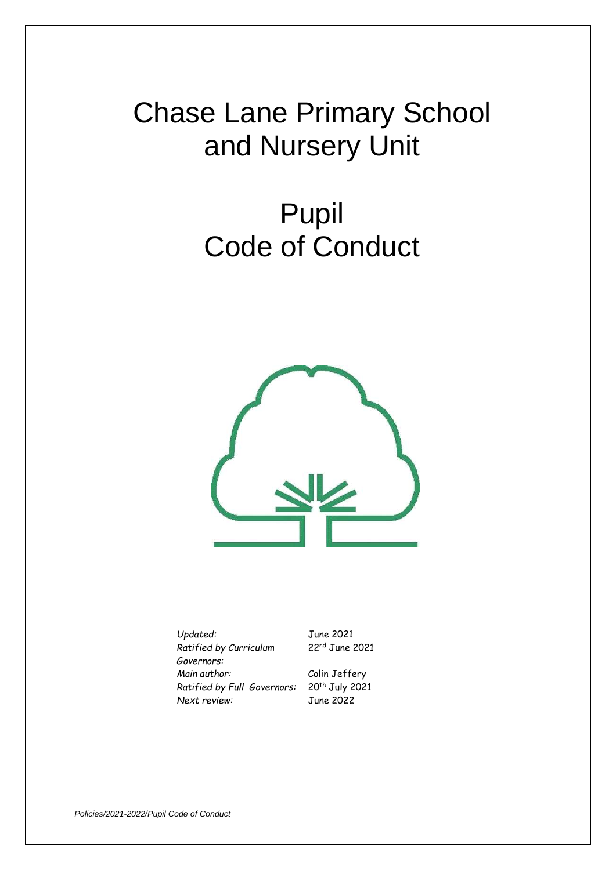# Chase Lane Primary School and Nursery Unit

# Pupil Code of Conduct



*Updated:* June 2021 *Ratified by Curriculum Governors: Main author:* Colin Jeffery *Ratified by Full Governors:* 20th July 2021 *Next review:* June 2022

22nd June 2021

*Policies/2021-2022/Pupil Code of Conduct*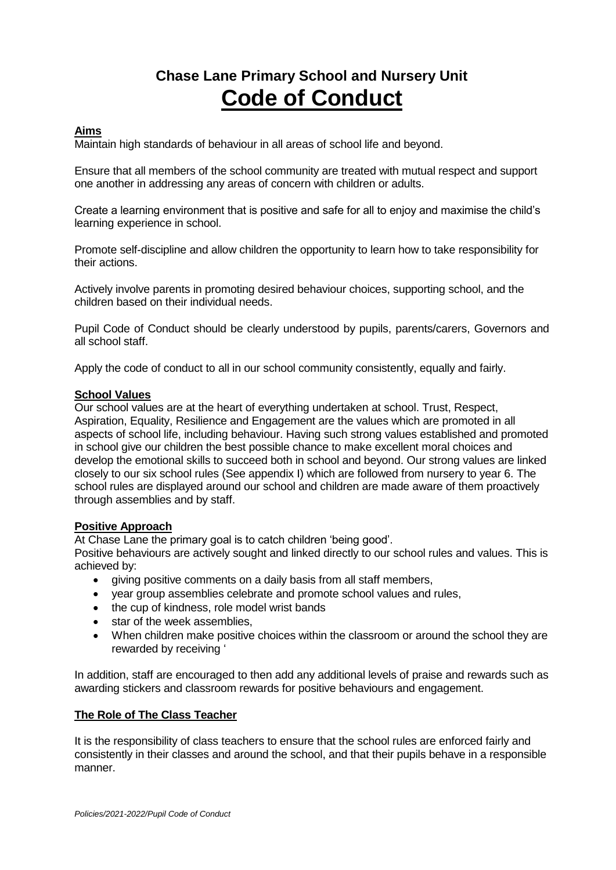# **Chase Lane Primary School and Nursery Unit Code of Conduct**

### **Aims**

Maintain high standards of behaviour in all areas of school life and beyond.

Ensure that all members of the school community are treated with mutual respect and support one another in addressing any areas of concern with children or adults.

Create a learning environment that is positive and safe for all to enjoy and maximise the child's learning experience in school.

Promote self-discipline and allow children the opportunity to learn how to take responsibility for their actions.

Actively involve parents in promoting desired behaviour choices, supporting school, and the children based on their individual needs.

Pupil Code of Conduct should be clearly understood by pupils, parents/carers, Governors and all school staff.

Apply the code of conduct to all in our school community consistently, equally and fairly.

#### **School Values**

Our school values are at the heart of everything undertaken at school. Trust, Respect, Aspiration, Equality, Resilience and Engagement are the values which are promoted in all aspects of school life, including behaviour. Having such strong values established and promoted in school give our children the best possible chance to make excellent moral choices and develop the emotional skills to succeed both in school and beyond. Our strong values are linked closely to our six school rules (See appendix I) which are followed from nursery to year 6. The school rules are displayed around our school and children are made aware of them proactively through assemblies and by staff.

### **Positive Approach**

At Chase Lane the primary goal is to catch children 'being good'.

Positive behaviours are actively sought and linked directly to our school rules and values. This is achieved by:

- giving positive comments on a daily basis from all staff members,
- year group assemblies celebrate and promote school values and rules,
- the cup of kindness, role model wrist bands
- star of the week assemblies.
- When children make positive choices within the classroom or around the school they are rewarded by receiving '

In addition, staff are encouraged to then add any additional levels of praise and rewards such as awarding stickers and classroom rewards for positive behaviours and engagement.

### **The Role of The Class Teacher**

It is the responsibility of class teachers to ensure that the school rules are enforced fairly and consistently in their classes and around the school, and that their pupils behave in a responsible manner.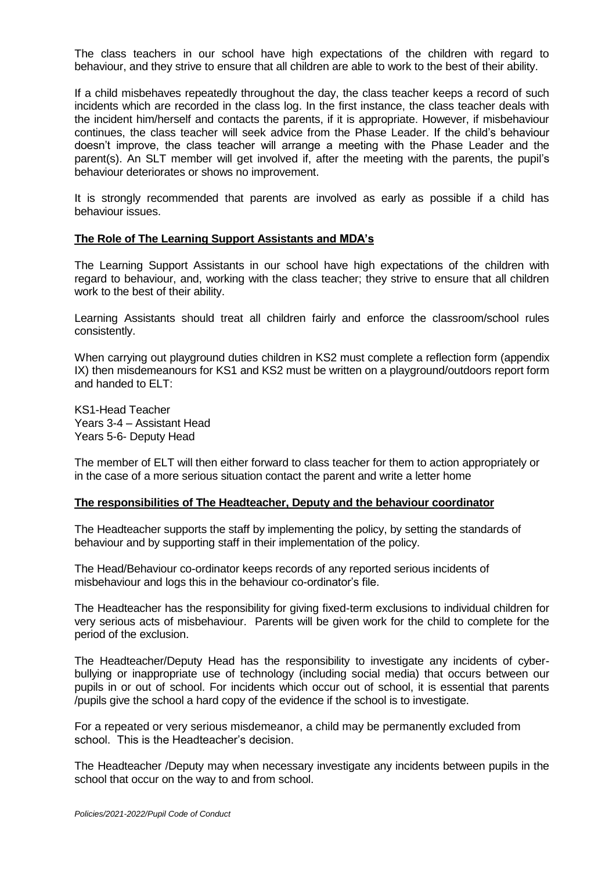The class teachers in our school have high expectations of the children with regard to behaviour, and they strive to ensure that all children are able to work to the best of their ability.

If a child misbehaves repeatedly throughout the day, the class teacher keeps a record of such incidents which are recorded in the class log. In the first instance, the class teacher deals with the incident him/herself and contacts the parents, if it is appropriate. However, if misbehaviour continues, the class teacher will seek advice from the Phase Leader. If the child's behaviour doesn't improve, the class teacher will arrange a meeting with the Phase Leader and the parent(s). An SLT member will get involved if, after the meeting with the parents, the pupil's behaviour deteriorates or shows no improvement.

It is strongly recommended that parents are involved as early as possible if a child has behaviour issues.

### **The Role of The Learning Support Assistants and MDA's**

The Learning Support Assistants in our school have high expectations of the children with regard to behaviour, and, working with the class teacher; they strive to ensure that all children work to the best of their ability.

Learning Assistants should treat all children fairly and enforce the classroom/school rules consistently.

When carrying out playground duties children in KS2 must complete a reflection form (appendix IX) then misdemeanours for KS1 and KS2 must be written on a playground/outdoors report form and handed to  $FI T$ 

KS1-Head Teacher Years 3-4 – Assistant Head Years 5-6- Deputy Head

The member of ELT will then either forward to class teacher for them to action appropriately or in the case of a more serious situation contact the parent and write a letter home

#### **The responsibilities of The Headteacher, Deputy and the behaviour coordinator**

The Headteacher supports the staff by implementing the policy, by setting the standards of behaviour and by supporting staff in their implementation of the policy.

The Head/Behaviour co-ordinator keeps records of any reported serious incidents of misbehaviour and logs this in the behaviour co-ordinator's file.

The Headteacher has the responsibility for giving fixed-term exclusions to individual children for very serious acts of misbehaviour. Parents will be given work for the child to complete for the period of the exclusion.

The Headteacher/Deputy Head has the responsibility to investigate any incidents of cyberbullying or inappropriate use of technology (including social media) that occurs between our pupils in or out of school. For incidents which occur out of school, it is essential that parents /pupils give the school a hard copy of the evidence if the school is to investigate.

For a repeated or very serious misdemeanor, a child may be permanently excluded from school. This is the Headteacher's decision.

The Headteacher /Deputy may when necessary investigate any incidents between pupils in the school that occur on the way to and from school.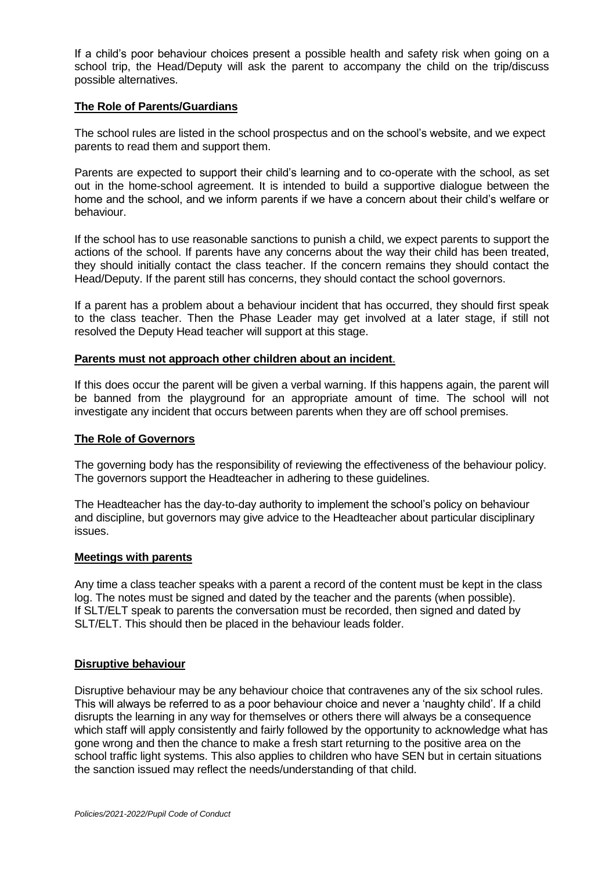If a child's poor behaviour choices present a possible health and safety risk when going on a school trip, the Head/Deputy will ask the parent to accompany the child on the trip/discuss possible alternatives.

### **The Role of Parents/Guardians**

The school rules are listed in the school prospectus and on the school's website, and we expect parents to read them and support them.

Parents are expected to support their child's learning and to co-operate with the school, as set out in the home-school agreement. It is intended to build a supportive dialogue between the home and the school, and we inform parents if we have a concern about their child's welfare or behaviour.

If the school has to use reasonable sanctions to punish a child, we expect parents to support the actions of the school. If parents have any concerns about the way their child has been treated, they should initially contact the class teacher. If the concern remains they should contact the Head/Deputy. If the parent still has concerns, they should contact the school governors.

If a parent has a problem about a behaviour incident that has occurred, they should first speak to the class teacher. Then the Phase Leader may get involved at a later stage, if still not resolved the Deputy Head teacher will support at this stage.

### **Parents must not approach other children about an incident**.

If this does occur the parent will be given a verbal warning. If this happens again, the parent will be banned from the playground for an appropriate amount of time. The school will not investigate any incident that occurs between parents when they are off school premises.

### **The Role of Governors**

The governing body has the responsibility of reviewing the effectiveness of the behaviour policy. The governors support the Headteacher in adhering to these guidelines.

The Headteacher has the day-to-day authority to implement the school's policy on behaviour and discipline, but governors may give advice to the Headteacher about particular disciplinary issues.

### **Meetings with parents**

Any time a class teacher speaks with a parent a record of the content must be kept in the class log. The notes must be signed and dated by the teacher and the parents (when possible). If SLT/ELT speak to parents the conversation must be recorded, then signed and dated by SLT/ELT. This should then be placed in the behaviour leads folder.

### **Disruptive behaviour**

Disruptive behaviour may be any behaviour choice that contravenes any of the six school rules. This will always be referred to as a poor behaviour choice and never a 'naughty child'. If a child disrupts the learning in any way for themselves or others there will always be a consequence which staff will apply consistently and fairly followed by the opportunity to acknowledge what has gone wrong and then the chance to make a fresh start returning to the positive area on the school traffic light systems. This also applies to children who have SEN but in certain situations the sanction issued may reflect the needs/understanding of that child.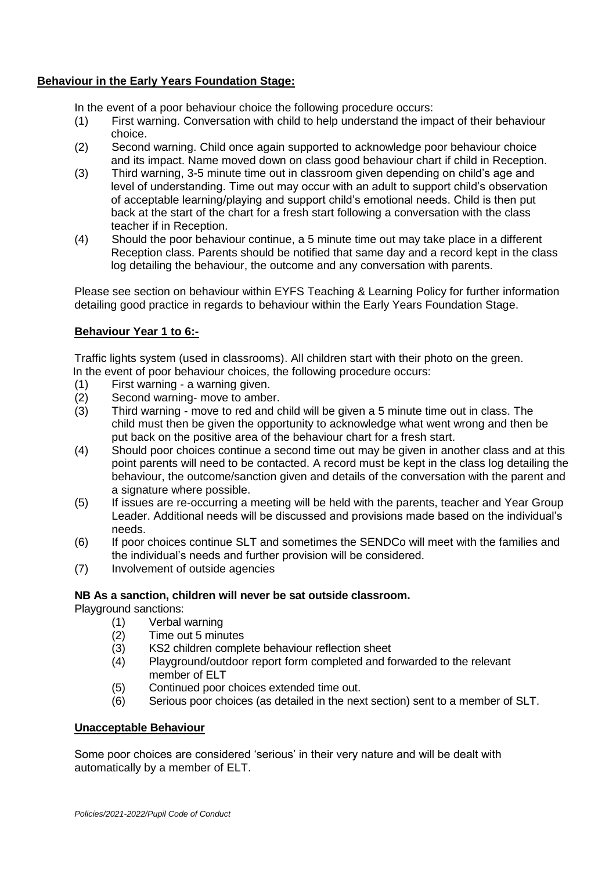# **Behaviour in the Early Years Foundation Stage:**

In the event of a poor behaviour choice the following procedure occurs:

- (1) First warning. Conversation with child to help understand the impact of their behaviour choice.
- (2) Second warning. Child once again supported to acknowledge poor behaviour choice and its impact. Name moved down on class good behaviour chart if child in Reception.
- (3) Third warning, 3-5 minute time out in classroom given depending on child's age and level of understanding. Time out may occur with an adult to support child's observation of acceptable learning/playing and support child's emotional needs. Child is then put back at the start of the chart for a fresh start following a conversation with the class teacher if in Reception.
- (4) Should the poor behaviour continue, a 5 minute time out may take place in a different Reception class. Parents should be notified that same day and a record kept in the class log detailing the behaviour, the outcome and any conversation with parents.

Please see section on behaviour within EYFS Teaching & Learning Policy for further information detailing good practice in regards to behaviour within the Early Years Foundation Stage.

# **Behaviour Year 1 to 6:-**

Traffic lights system (used in classrooms). All children start with their photo on the green. In the event of poor behaviour choices, the following procedure occurs:

- (1) First warning a warning given.
- (2) Second warning- move to amber.
- (3) Third warning move to red and child will be given a 5 minute time out in class. The child must then be given the opportunity to acknowledge what went wrong and then be put back on the positive area of the behaviour chart for a fresh start.
- (4) Should poor choices continue a second time out may be given in another class and at this point parents will need to be contacted. A record must be kept in the class log detailing the behaviour, the outcome/sanction given and details of the conversation with the parent and a signature where possible.
- (5) If issues are re-occurring a meeting will be held with the parents, teacher and Year Group Leader. Additional needs will be discussed and provisions made based on the individual's needs.
- (6) If poor choices continue SLT and sometimes the SENDCo will meet with the families and the individual's needs and further provision will be considered.
- (7) Involvement of outside agencies

# **NB As a sanction, children will never be sat outside classroom.**

Playground sanctions:

- (1) Verbal warning
- (2) Time out 5 minutes
- (3) KS2 children complete behaviour reflection sheet
- (4) Playground/outdoor report form completed and forwarded to the relevant member of ELT
- (5) Continued poor choices extended time out.
- (6) Serious poor choices (as detailed in the next section) sent to a member of SLT.

### **Unacceptable Behaviour**

Some poor choices are considered 'serious' in their very nature and will be dealt with automatically by a member of ELT.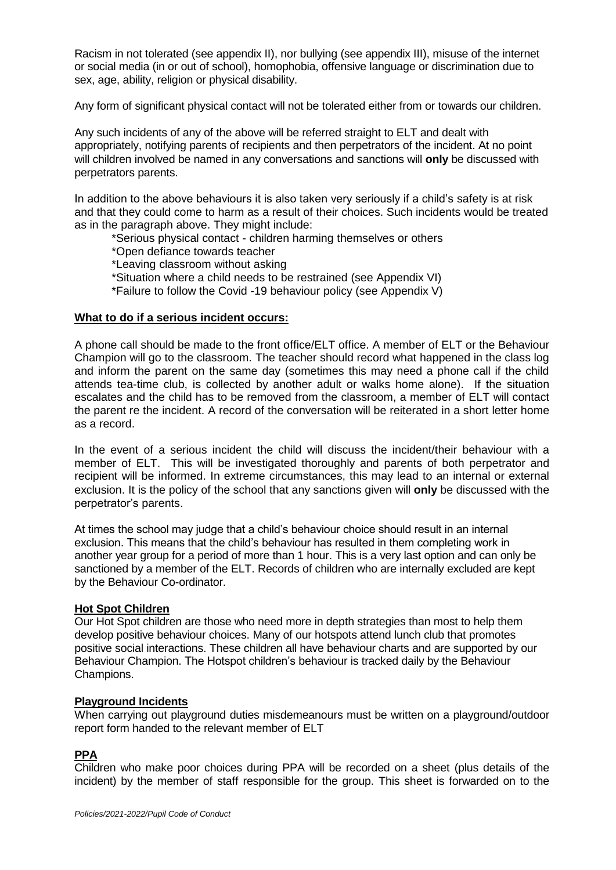Racism in not tolerated (see appendix II), nor bullying (see appendix III), misuse of the internet or social media (in or out of school), homophobia, offensive language or discrimination due to sex, age, ability, religion or physical disability.

Any form of significant physical contact will not be tolerated either from or towards our children.

Any such incidents of any of the above will be referred straight to ELT and dealt with appropriately, notifying parents of recipients and then perpetrators of the incident. At no point will children involved be named in any conversations and sanctions will **only** be discussed with perpetrators parents.

In addition to the above behaviours it is also taken very seriously if a child's safety is at risk and that they could come to harm as a result of their choices. Such incidents would be treated as in the paragraph above. They might include:

\*Serious physical contact - children harming themselves or others

\*Open defiance towards teacher

\*Leaving classroom without asking

\*Situation where a child needs to be restrained (see Appendix VI)

\*Failure to follow the Covid -19 behaviour policy (see Appendix V)

### **What to do if a serious incident occurs:**

A phone call should be made to the front office/ELT office. A member of ELT or the Behaviour Champion will go to the classroom. The teacher should record what happened in the class log and inform the parent on the same day (sometimes this may need a phone call if the child attends tea-time club, is collected by another adult or walks home alone). If the situation escalates and the child has to be removed from the classroom, a member of ELT will contact the parent re the incident. A record of the conversation will be reiterated in a short letter home as a record.

In the event of a serious incident the child will discuss the incident/their behaviour with a member of ELT. This will be investigated thoroughly and parents of both perpetrator and recipient will be informed. In extreme circumstances, this may lead to an internal or external exclusion. It is the policy of the school that any sanctions given will **only** be discussed with the perpetrator's parents.

At times the school may judge that a child's behaviour choice should result in an internal exclusion. This means that the child's behaviour has resulted in them completing work in another year group for a period of more than 1 hour. This is a very last option and can only be sanctioned by a member of the ELT. Records of children who are internally excluded are kept by the Behaviour Co-ordinator.

### **Hot Spot Children**

Our Hot Spot children are those who need more in depth strategies than most to help them develop positive behaviour choices. Many of our hotspots attend lunch club that promotes positive social interactions. These children all have behaviour charts and are supported by our Behaviour Champion. The Hotspot children's behaviour is tracked daily by the Behaviour Champions.

# **Playground Incidents**

When carrying out playground duties misdemeanours must be written on a playground/outdoor report form handed to the relevant member of ELT

# **PPA**

Children who make poor choices during PPA will be recorded on a sheet (plus details of the incident) by the member of staff responsible for the group. This sheet is forwarded on to the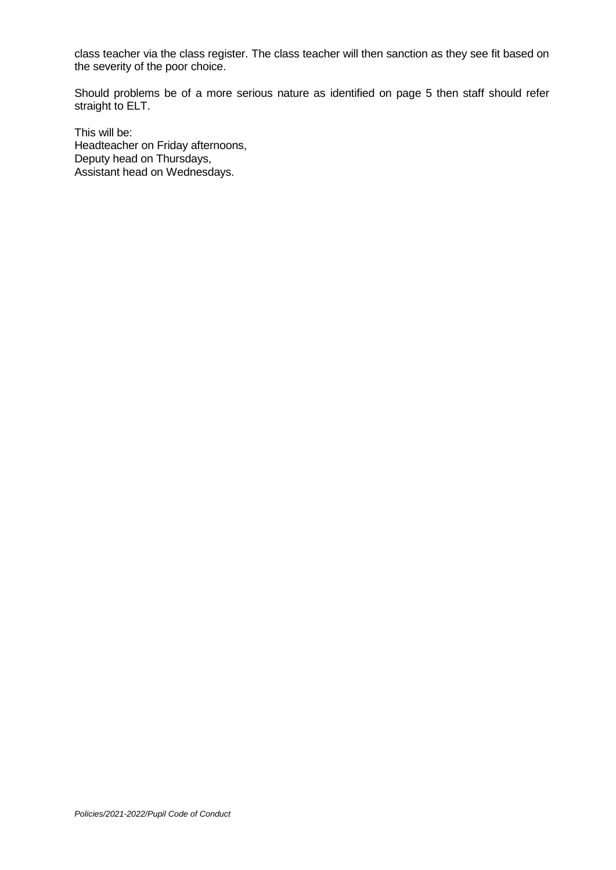class teacher via the class register. The class teacher will then sanction as they see fit based on the severity of the poor choice.

Should problems be of a more serious nature as identified on page 5 then staff should refer straight to ELT.

This will be: Headteacher on Friday afternoons, Deputy head on Thursdays, Assistant head on Wednesdays.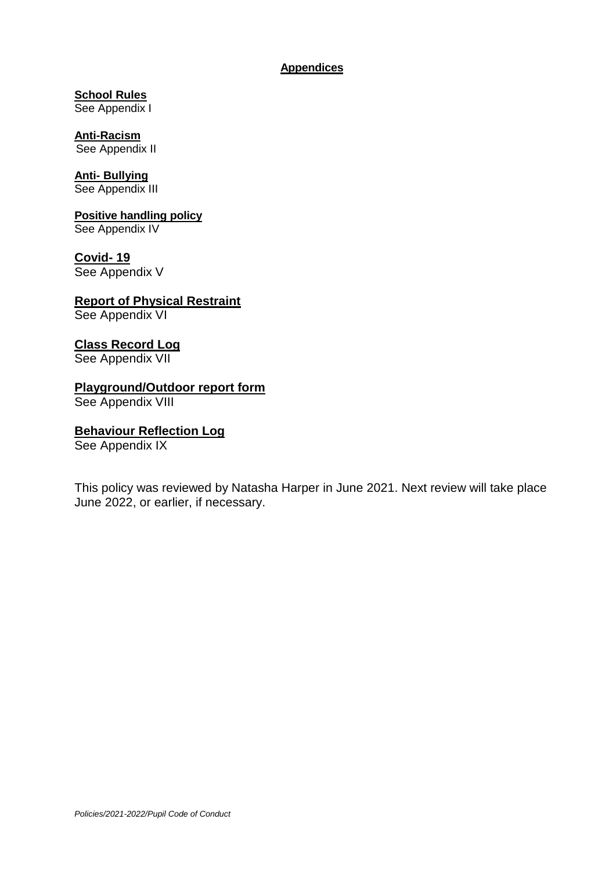# **Appendices**

**School Rules** See Appendix I

**Anti-Racism** See Appendix II

**Anti- Bullying** See Appendix III

# **Positive handling policy** See Appendix IV

**Covid- 19** 

See Appendix V

**Report of Physical Restraint** See Appendix VI

# **Class Record Log**

See Appendix VII

# **Playground/Outdoor report form**

See Appendix VIII

# **Behaviour Reflection Log**

See Appendix IX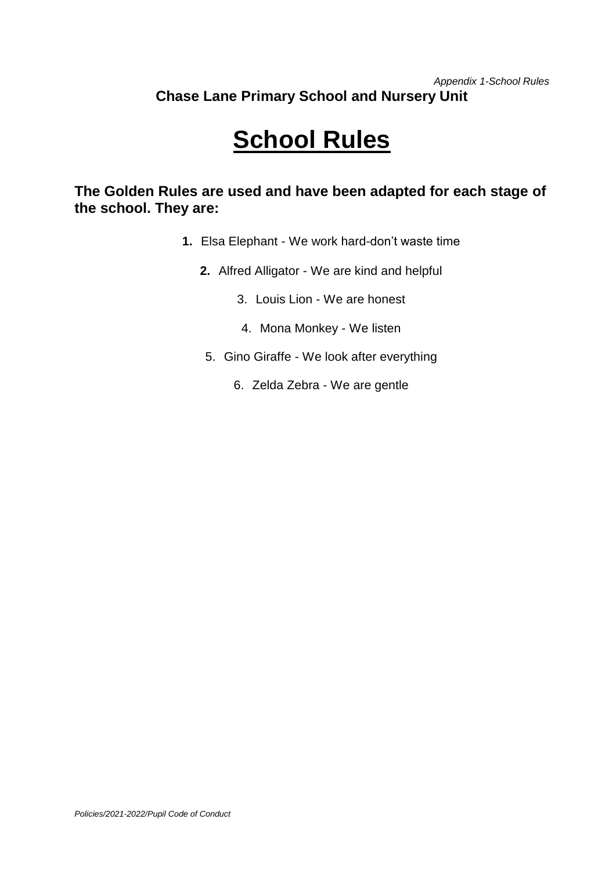# *Appendix 1-School Rules* **Chase Lane Primary School and Nursery Unit**

# **School Rules**

**The Golden Rules are used and have been adapted for each stage of the school. They are:** 

- **1.** Elsa Elephant We work hard-don't waste time
	- **2.** Alfred Alligator We are kind and helpful
		- 3. Louis Lion We are honest
		- 4. Mona Monkey We listen
		- 5. Gino Giraffe We look after everything
			- 6. Zelda Zebra We are gentle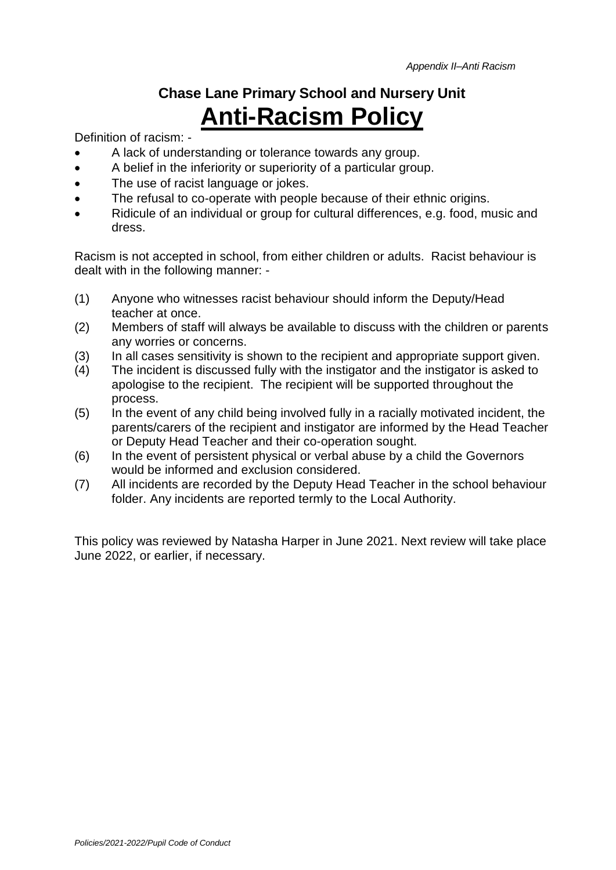# **Chase Lane Primary School and Nursery Unit Anti-Racism Policy**

Definition of racism: -

- A lack of understanding or tolerance towards any group.
- A belief in the inferiority or superiority of a particular group.
- The use of racist language or jokes.
- The refusal to co-operate with people because of their ethnic origins.
- Ridicule of an individual or group for cultural differences, e.g. food, music and dress.

Racism is not accepted in school, from either children or adults. Racist behaviour is dealt with in the following manner: -

- (1) Anyone who witnesses racist behaviour should inform the Deputy/Head teacher at once.
- (2) Members of staff will always be available to discuss with the children or parents any worries or concerns.
- (3) In all cases sensitivity is shown to the recipient and appropriate support given.
- (4) The incident is discussed fully with the instigator and the instigator is asked to apologise to the recipient. The recipient will be supported throughout the process.
- (5) In the event of any child being involved fully in a racially motivated incident, the parents/carers of the recipient and instigator are informed by the Head Teacher or Deputy Head Teacher and their co-operation sought.
- (6) In the event of persistent physical or verbal abuse by a child the Governors would be informed and exclusion considered.
- (7) All incidents are recorded by the Deputy Head Teacher in the school behaviour folder. Any incidents are reported termly to the Local Authority.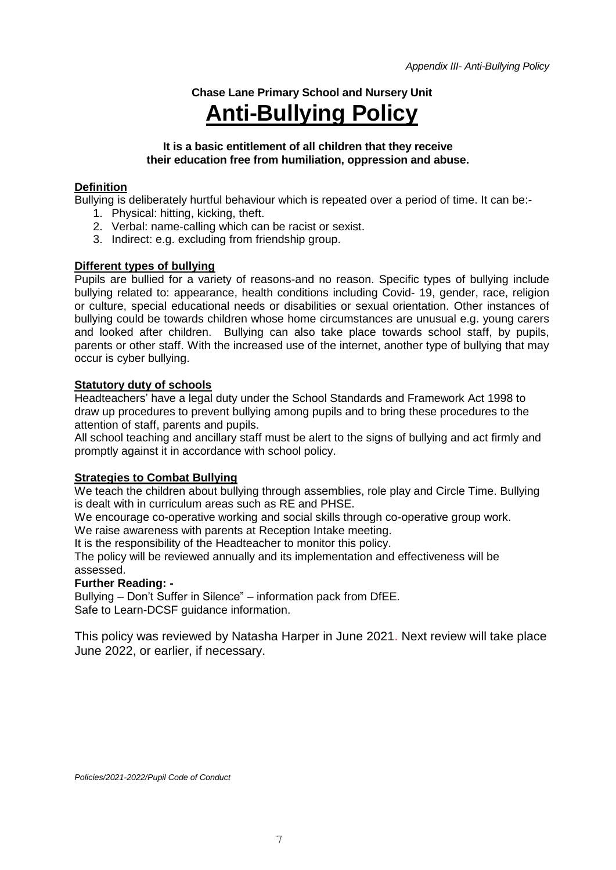# **Chase Lane Primary School and Nursery Unit Anti-Bullying Policy**

# **It is a basic entitlement of all children that they receive their education free from humiliation, oppression and abuse.**

# **Definition**

Bullying is deliberately hurtful behaviour which is repeated over a period of time. It can be:-

- 1. Physical: hitting, kicking, theft.
- 2. Verbal: name-calling which can be racist or sexist.
- 3. Indirect: e.g. excluding from friendship group.

# **Different types of bullying**

Pupils are bullied for a variety of reasons-and no reason. Specific types of bullying include bullying related to: appearance, health conditions including Covid- 19, gender, race, religion or culture, special educational needs or disabilities or sexual orientation. Other instances of bullying could be towards children whose home circumstances are unusual e.g. young carers and looked after children. Bullying can also take place towards school staff, by pupils, parents or other staff. With the increased use of the internet, another type of bullying that may occur is cyber bullying.

# **Statutory duty of schools**

Headteachers' have a legal duty under the School Standards and Framework Act 1998 to draw up procedures to prevent bullying among pupils and to bring these procedures to the attention of staff, parents and pupils.

All school teaching and ancillary staff must be alert to the signs of bullying and act firmly and promptly against it in accordance with school policy.

# **Strategies to Combat Bullying**

We teach the children about bullying through assemblies, role play and Circle Time. Bullying is dealt with in curriculum areas such as RE and PHSE.

We encourage co-operative working and social skills through co-operative group work.

We raise awareness with parents at Reception Intake meeting.

It is the responsibility of the Headteacher to monitor this policy.

The policy will be reviewed annually and its implementation and effectiveness will be assessed.

# **Further Reading: -**

Bullying – Don't Suffer in Silence" – information pack from DfEE. Safe to Learn-DCSF guidance information.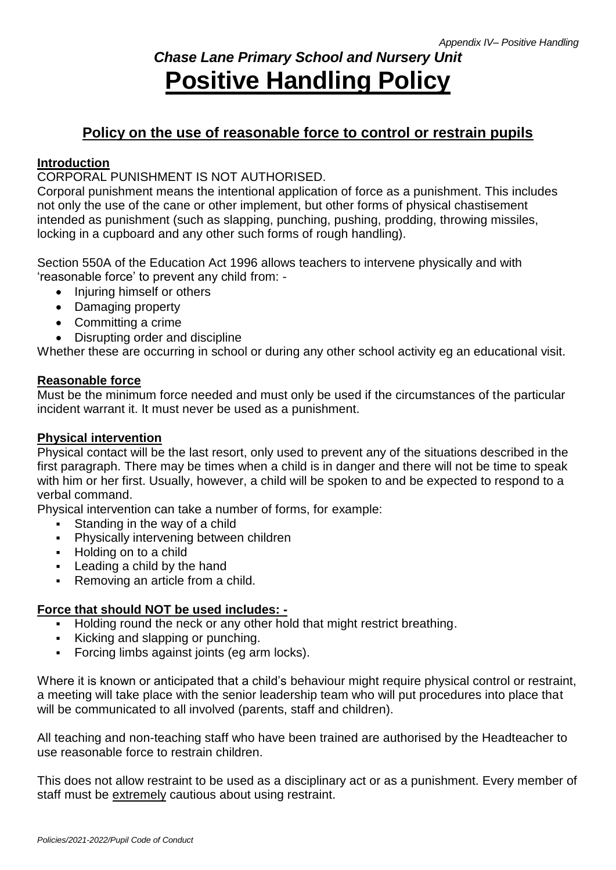# *Chase Lane Primary School and Nursery Unit* **Positive Handling Policy**

# **Policy on the use of reasonable force to control or restrain pupils**

# **Introduction**

CORPORAL PUNISHMENT IS NOT AUTHORISED.

Corporal punishment means the intentional application of force as a punishment. This includes not only the use of the cane or other implement, but other forms of physical chastisement intended as punishment (such as slapping, punching, pushing, prodding, throwing missiles, locking in a cupboard and any other such forms of rough handling).

Section 550A of the Education Act 1996 allows teachers to intervene physically and with 'reasonable force' to prevent any child from: -

- Injuring himself or others
- Damaging property
- Committing a crime
- Disrupting order and discipline

Whether these are occurring in school or during any other school activity eg an educational visit.

# **Reasonable force**

Must be the minimum force needed and must only be used if the circumstances of the particular incident warrant it. It must never be used as a punishment.

# **Physical intervention**

Physical contact will be the last resort, only used to prevent any of the situations described in the first paragraph. There may be times when a child is in danger and there will not be time to speak with him or her first. Usually, however, a child will be spoken to and be expected to respond to a verbal command.

Physical intervention can take a number of forms, for example:

- Standing in the way of a child
- **•** Physically intervening between children
- **Holding on to a child**
- **Leading a child by the hand**
- Removing an article from a child.

# **Force that should NOT be used includes: -**

- Holding round the neck or any other hold that might restrict breathing.
- Kicking and slapping or punching.
- Forcing limbs against joints (eg arm locks).

Where it is known or anticipated that a child's behaviour might require physical control or restraint, a meeting will take place with the senior leadership team who will put procedures into place that will be communicated to all involved (parents, staff and children).

All teaching and non-teaching staff who have been trained are authorised by the Headteacher to use reasonable force to restrain children.

This does not allow restraint to be used as a disciplinary act or as a punishment. Every member of staff must be extremely cautious about using restraint.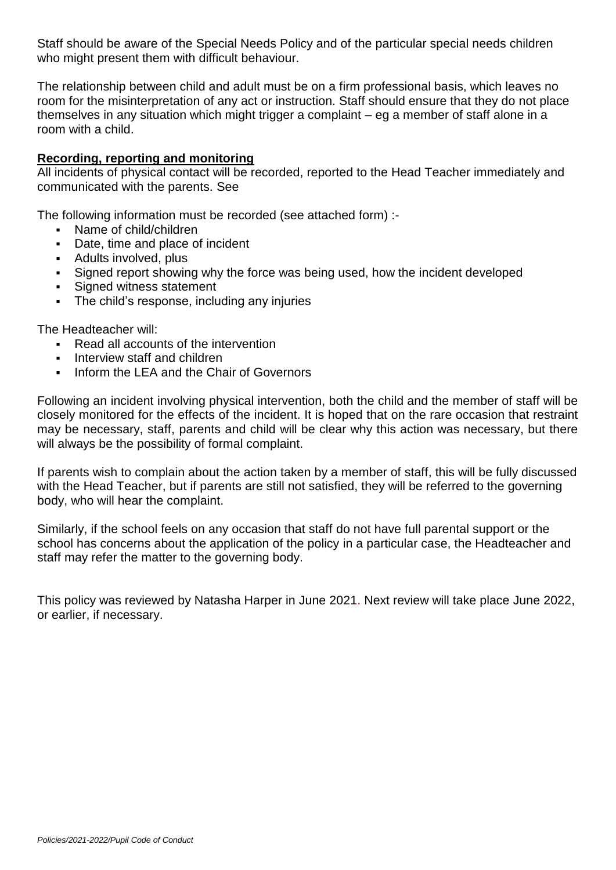Staff should be aware of the Special Needs Policy and of the particular special needs children who might present them with difficult behaviour.

The relationship between child and adult must be on a firm professional basis, which leaves no room for the misinterpretation of any act or instruction. Staff should ensure that they do not place themselves in any situation which might trigger a complaint – eg a member of staff alone in a room with a child.

# **Recording, reporting and monitoring**

All incidents of physical contact will be recorded, reported to the Head Teacher immediately and communicated with the parents. See

The following information must be recorded (see attached form) :-

- Name of child/children
- Date, time and place of incident
- Adults involved, plus
- Signed report showing why the force was being used, how the incident developed
- Signed witness statement
- **The child's response, including any injuries**

The Headteacher will:

- Read all accounts of the intervention
- **Interview staff and children**
- Inform the LEA and the Chair of Governors

Following an incident involving physical intervention, both the child and the member of staff will be closely monitored for the effects of the incident. It is hoped that on the rare occasion that restraint may be necessary, staff, parents and child will be clear why this action was necessary, but there will always be the possibility of formal complaint.

If parents wish to complain about the action taken by a member of staff, this will be fully discussed with the Head Teacher, but if parents are still not satisfied, they will be referred to the governing body, who will hear the complaint.

Similarly, if the school feels on any occasion that staff do not have full parental support or the school has concerns about the application of the policy in a particular case, the Headteacher and staff may refer the matter to the governing body.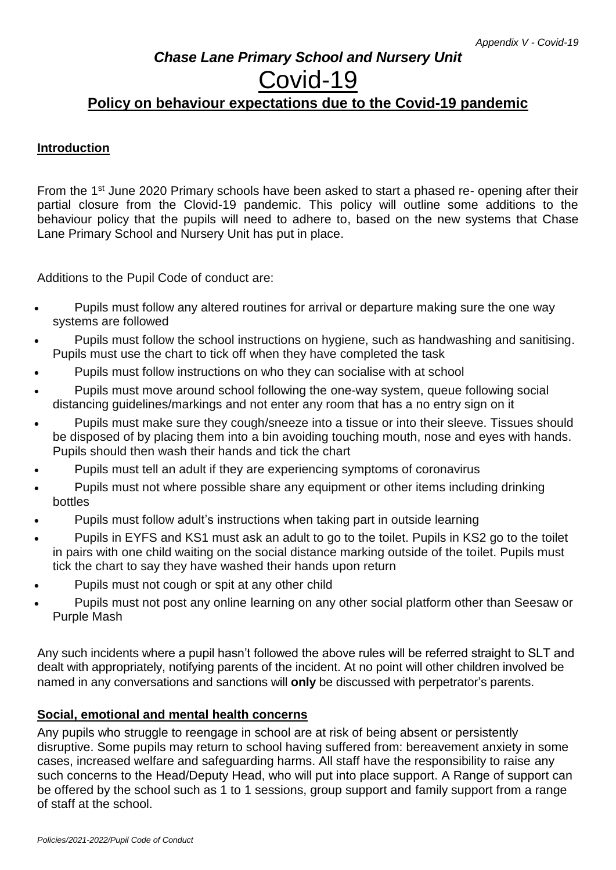# *Chase Lane Primary School and Nursery Unit*

# Covid-19

# **Policy on behaviour expectations due to the Covid-19 pandemic**

# **Introduction**

From the 1<sup>st</sup> June 2020 Primary schools have been asked to start a phased re- opening after their partial closure from the Clovid-19 pandemic. This policy will outline some additions to the behaviour policy that the pupils will need to adhere to, based on the new systems that Chase Lane Primary School and Nursery Unit has put in place.

Additions to the Pupil Code of conduct are:

- Pupils must follow any altered routines for arrival or departure making sure the one way systems are followed
- Pupils must follow the school instructions on hygiene, such as handwashing and sanitising. Pupils must use the chart to tick off when they have completed the task
- Pupils must follow instructions on who they can socialise with at school
- Pupils must move around school following the one-way system, queue following social distancing guidelines/markings and not enter any room that has a no entry sign on it
- Pupils must make sure they cough/sneeze into a tissue or into their sleeve. Tissues should be disposed of by placing them into a bin avoiding touching mouth, nose and eyes with hands. Pupils should then wash their hands and tick the chart
- Pupils must tell an adult if they are experiencing symptoms of coronavirus
- Pupils must not where possible share any equipment or other items including drinking bottles
- Pupils must follow adult's instructions when taking part in outside learning
- Pupils in EYFS and KS1 must ask an adult to go to the toilet. Pupils in KS2 go to the toilet in pairs with one child waiting on the social distance marking outside of the toilet. Pupils must tick the chart to say they have washed their hands upon return
- Pupils must not cough or spit at any other child
- Pupils must not post any online learning on any other social platform other than Seesaw or Purple Mash

Any such incidents where a pupil hasn't followed the above rules will be referred straight to SLT and dealt with appropriately, notifying parents of the incident. At no point will other children involved be named in any conversations and sanctions will **only** be discussed with perpetrator's parents.

# **Social, emotional and mental health concerns**

Any pupils who struggle to reengage in school are at risk of being absent or persistently disruptive. Some pupils may return to school having suffered from: bereavement anxiety in some cases, increased welfare and safeguarding harms. All staff have the responsibility to raise any such concerns to the Head/Deputy Head, who will put into place support. A Range of support can be offered by the school such as 1 to 1 sessions, group support and family support from a range of staff at the school.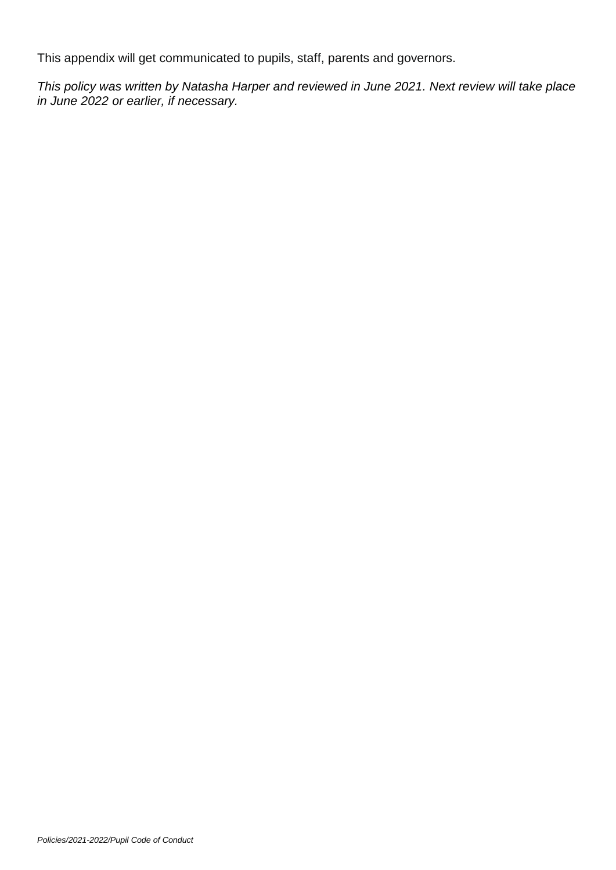This appendix will get communicated to pupils, staff, parents and governors.

*This policy was written by Natasha Harper and reviewed in June 2021. Next review will take place in June 2022 or earlier, if necessary.*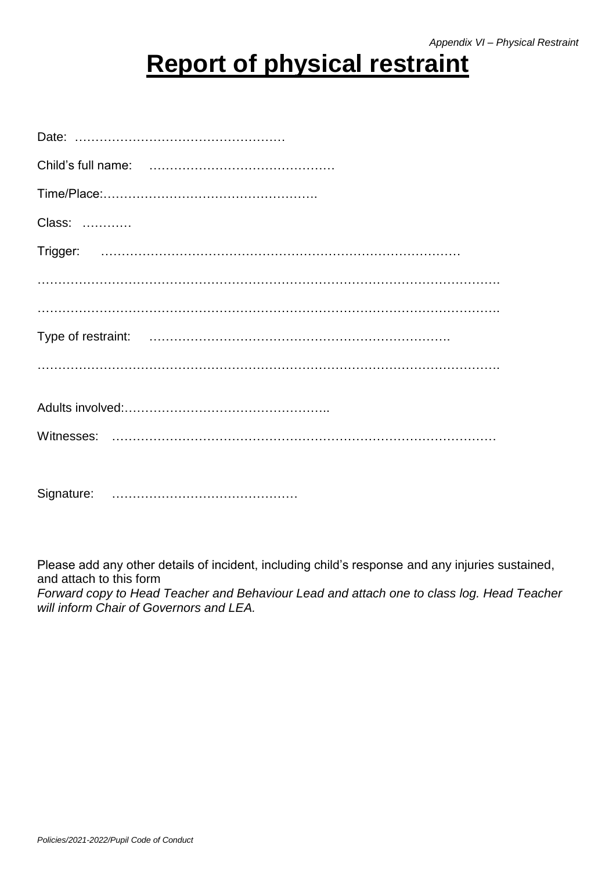# **Report of physical restraint**

| Class: |
|--------|
|        |
|        |
|        |
|        |
|        |
|        |
|        |
|        |
|        |

Please add any other details of incident, including child's response and any injuries sustained, and attach to this form *Forward copy to Head Teacher and Behaviour Lead and attach one to class log. Head Teacher will inform Chair of Governors and LEA.*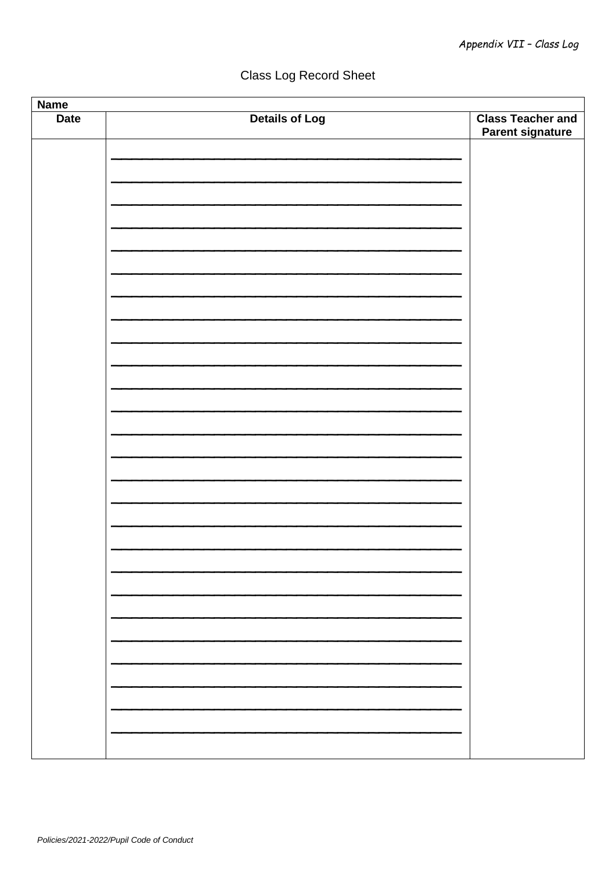# Class Log Record Sheet

| <b>Name</b> |                       |                                                     |  |  |  |
|-------------|-----------------------|-----------------------------------------------------|--|--|--|
| <b>Date</b> | <b>Details of Log</b> | <b>Class Teacher and</b><br><b>Parent signature</b> |  |  |  |
|             |                       |                                                     |  |  |  |
|             |                       |                                                     |  |  |  |
|             |                       |                                                     |  |  |  |
|             |                       |                                                     |  |  |  |
|             |                       |                                                     |  |  |  |
|             |                       |                                                     |  |  |  |
|             |                       |                                                     |  |  |  |
|             |                       |                                                     |  |  |  |
|             |                       |                                                     |  |  |  |
|             |                       |                                                     |  |  |  |
|             |                       |                                                     |  |  |  |
|             |                       |                                                     |  |  |  |
|             |                       |                                                     |  |  |  |
|             |                       |                                                     |  |  |  |
|             |                       |                                                     |  |  |  |
|             |                       |                                                     |  |  |  |
|             |                       |                                                     |  |  |  |
|             |                       |                                                     |  |  |  |
|             |                       |                                                     |  |  |  |
|             |                       |                                                     |  |  |  |
|             |                       |                                                     |  |  |  |
|             |                       |                                                     |  |  |  |
|             |                       |                                                     |  |  |  |
|             |                       |                                                     |  |  |  |
|             |                       |                                                     |  |  |  |
|             |                       |                                                     |  |  |  |
|             |                       |                                                     |  |  |  |
|             |                       |                                                     |  |  |  |
|             |                       |                                                     |  |  |  |
|             |                       |                                                     |  |  |  |
|             |                       |                                                     |  |  |  |
|             |                       |                                                     |  |  |  |
|             |                       |                                                     |  |  |  |
|             |                       |                                                     |  |  |  |
|             |                       |                                                     |  |  |  |
|             |                       |                                                     |  |  |  |
|             |                       |                                                     |  |  |  |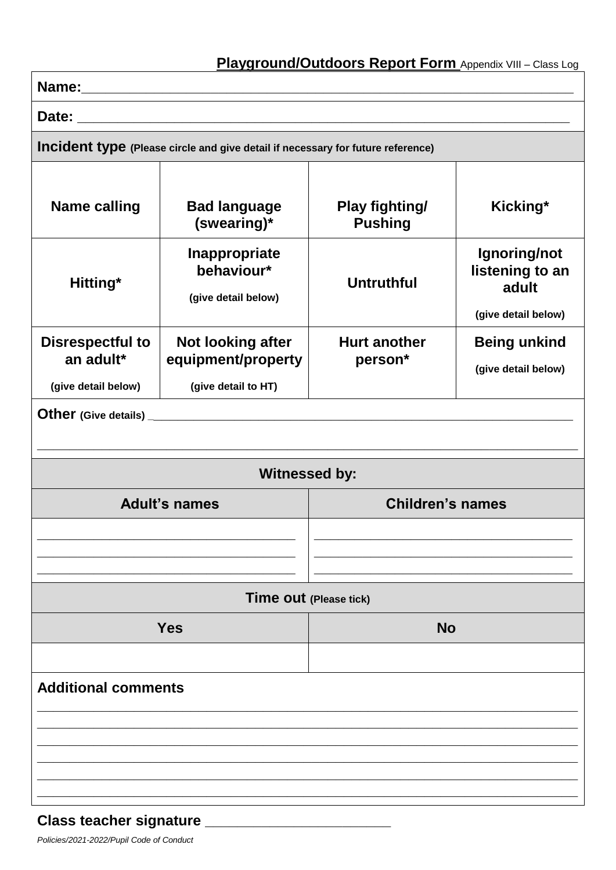| Incident type (Please circle and give detail if necessary for future reference) |                                                    |                                         |                                                                 |  |  |  |
|---------------------------------------------------------------------------------|----------------------------------------------------|-----------------------------------------|-----------------------------------------------------------------|--|--|--|
| <b>Name calling</b>                                                             | <b>Bad language</b><br>(swearing)*                 | <b>Play fighting/</b><br><b>Pushing</b> | Kicking*                                                        |  |  |  |
| Hitting*                                                                        | Inappropriate<br>behaviour*<br>(give detail below) | <b>Untruthful</b>                       | Ignoring/not<br>listening to an<br>adult<br>(give detail below) |  |  |  |
| <b>Disrespectful to</b>                                                         | <b>Not looking after</b>                           | <b>Hurt another</b><br>person*          | <b>Being unkind</b>                                             |  |  |  |
| an adult*<br>(give detail below)                                                | equipment/property<br>(give detail to HT)          |                                         | (give detail below)                                             |  |  |  |
|                                                                                 |                                                    |                                         |                                                                 |  |  |  |
| <b>Witnessed by:</b>                                                            |                                                    |                                         |                                                                 |  |  |  |
| <b>Adult's names</b>                                                            |                                                    | <b>Children's names</b>                 |                                                                 |  |  |  |
|                                                                                 |                                                    |                                         |                                                                 |  |  |  |
|                                                                                 | <b>Time out (Please tick)</b>                      |                                         |                                                                 |  |  |  |
| <b>Yes</b>                                                                      |                                                    | <b>No</b>                               |                                                                 |  |  |  |
|                                                                                 |                                                    |                                         |                                                                 |  |  |  |
| <b>Additional comments</b>                                                      |                                                    |                                         |                                                                 |  |  |  |
|                                                                                 |                                                    |                                         |                                                                 |  |  |  |
|                                                                                 |                                                    |                                         |                                                                 |  |  |  |
|                                                                                 |                                                    |                                         |                                                                 |  |  |  |

# **Class teacher signature \_\_\_\_\_\_\_\_\_\_\_\_\_\_\_\_\_\_\_\_\_\_\_**

*Policies/2021-2022/Pupil Code of Conduct*